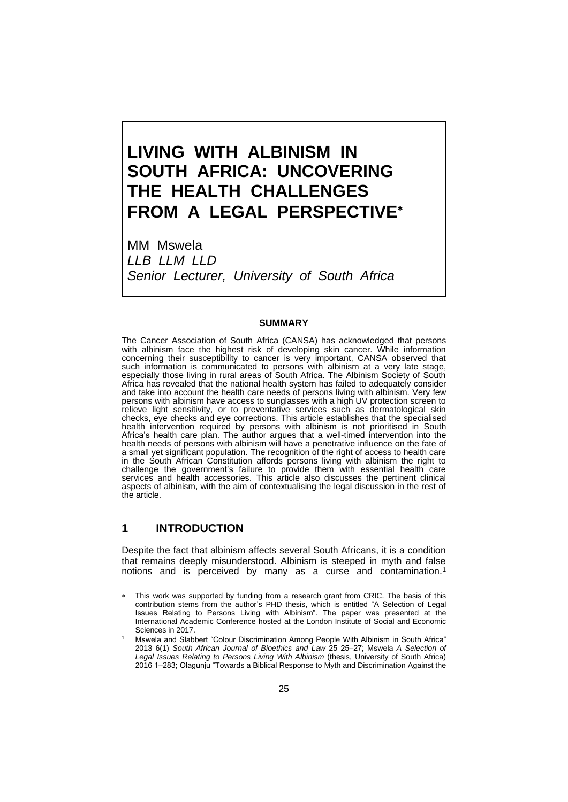# **LIVING WITH ALBINISM IN SOUTH AFRICA: UNCOVERING THE HEALTH CHALLENGES FROM A LEGAL PERSPECTIVE**

MM Mswela *LLB LLM LLD Senior Lecturer, University of South Africa*

#### **SUMMARY**

The Cancer Association of South Africa (CANSA) has acknowledged that persons with albinism face the highest risk of developing skin cancer. While information concerning their susceptibility to cancer is very important, CANSA observed that such information is communicated to persons with albinism at a very late stage, especially those living in rural areas of South Africa. The Albinism Society of South Africa has revealed that the national health system has failed to adequately consider and take into account the health care needs of persons living with albinism. Very few persons with albinism have access to sunglasses with a high UV protection screen to relieve light sensitivity, or to preventative services such as dermatological skin checks, eye checks and eye corrections. This article establishes that the specialised health intervention required by persons with albinism is not prioritised in South Africa's health care plan. The author argues that a well-timed intervention into the health needs of persons with albinism will have a penetrative influence on the fate of a small yet significant population. The recognition of the right of access to health care in the South African Constitution affords persons living with albinism the right to challenge the government's failure to provide them with essential health care services and health accessories. This article also discusses the pertinent clinical aspects of albinism, with the aim of contextualising the legal discussion in the rest of the article.

## **1 INTRODUCTION**

Despite the fact that albinism affects several South Africans, it is a condition that remains deeply misunderstood. Albinism is steeped in myth and false notions and is perceived by many as a curse and contamination.<sup>1</sup>

This work was supported by funding from a research grant from CRIC. The basis of this contribution stems from the author's PHD thesis, which is entitled "A Selection of Legal Issues Relating to Persons Living with Albinism". The paper was presented at the International Academic Conference hosted at the London Institute of Social and Economic Sciences in 2017.

<sup>1</sup> Mswela and Slabbert "Colour Discrimination Among People With Albinism in South Africa" 2013 6(1) *South African Journal of Bioethics and Law* 25 25‒27; Mswela *A Selection of Legal Issues Relating to Persons Living With Albinism* (thesis, University of South Africa) 2016 1-283; Olagunju "Towards a Biblical Response to Myth and Discrimination Against the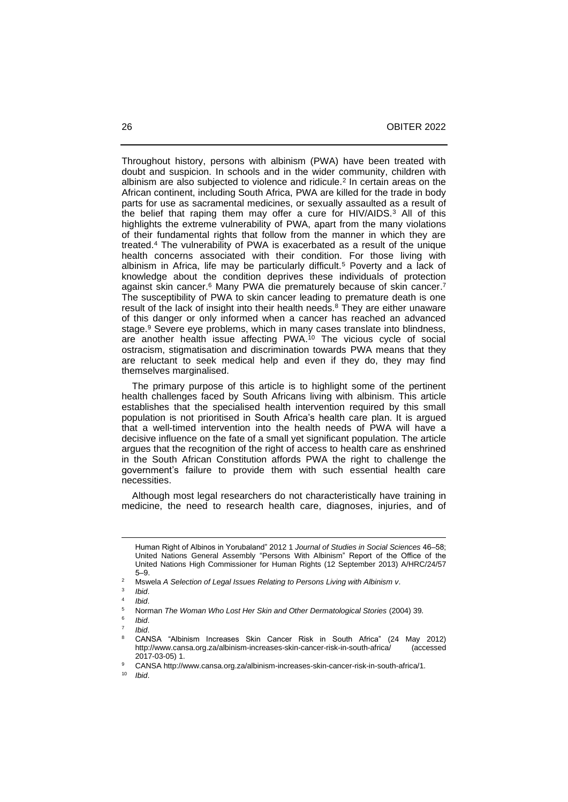Throughout history, persons with albinism (PWA) have been treated with doubt and suspicion. In schools and in the wider community, children with albinism are also subjected to violence and ridicule.<sup>2</sup> In certain areas on the African continent, including South Africa, PWA are killed for the trade in body parts for use as sacramental medicines, or sexually assaulted as a result of the belief that raping them may offer a cure for HIV/AIDS.<sup>3</sup> All of this highlights the extreme vulnerability of PWA, apart from the many violations of their fundamental rights that follow from the manner in which they are treated.<sup>4</sup> The vulnerability of PWA is exacerbated as a result of the unique health concerns associated with their condition. For those living with albinism in Africa, life may be particularly difficult.<sup>5</sup> Poverty and a lack of knowledge about the condition deprives these individuals of protection against skin cancer.<sup>6</sup> Many PWA die prematurely because of skin cancer.<sup>7</sup> The susceptibility of PWA to skin cancer leading to premature death is one result of the lack of insight into their health needs.<sup>8</sup> They are either unaware of this danger or only informed when a cancer has reached an advanced stage.<sup>9</sup> Severe eye problems, which in many cases translate into blindness, are another health issue affecting PWA.<sup>10</sup> The vicious cycle of social ostracism, stigmatisation and discrimination towards PWA means that they are reluctant to seek medical help and even if they do, they may find themselves marginalised.

 The primary purpose of this article is to highlight some of the pertinent health challenges faced by South Africans living with albinism. This article establishes that the specialised health intervention required by this small population is not prioritised in South Africa's health care plan. It is argued that a well-timed intervention into the health needs of PWA will have a decisive influence on the fate of a small yet significant population. The article argues that the recognition of the right of access to health care as enshrined in the South African Constitution affords PWA the right to challenge the government's failure to provide them with such essential health care necessities.

 Although most legal researchers do not characteristically have training in medicine, the need to research health care, diagnoses, injuries, and of

Human Right of Albinos in Yorubaland" 2012 1 Journal of Studies in Social Sciences 46-58; United Nations General Assembly "Persons With Albinism" Report of the Office of the United Nations High Commissioner for Human Rights (12 September 2013) A/HRC/24/57  $5 - 9$ .

<sup>2</sup> Mswela *A Selection of Legal Issues Relating to Persons Living with Albinism v*.

 $\overline{a}$ *Ibid*.

<sup>4</sup> *Ibid*.

<sup>5</sup> Norman *The Woman Who Lost Her Skin and Other Dermatological Stories* (2004) 39.

<sup>6</sup> *Ibid*.

<sup>7</sup> *Ibid*.

CANSA "Albinism Increases Skin Cancer Risk in South Africa" (24 May 2012)<br>http://www.cansa.org.za/albinism-increases-skin-cancer-risk-in-south-africa/ (accessed http://www.cansa.org.za/albinism-increases-skin-cancer-risk-in-south-africa/ 2017-03-05) 1.

<sup>9</sup> CANS[A http://www.cansa.org.za/albinism-increases-skin-cancer-risk-in-south-africa/1](http://www.cansa.org.za/albinism-increases-skin-cancer-risk-in-south-africa/).

<sup>10</sup> *Ibid*.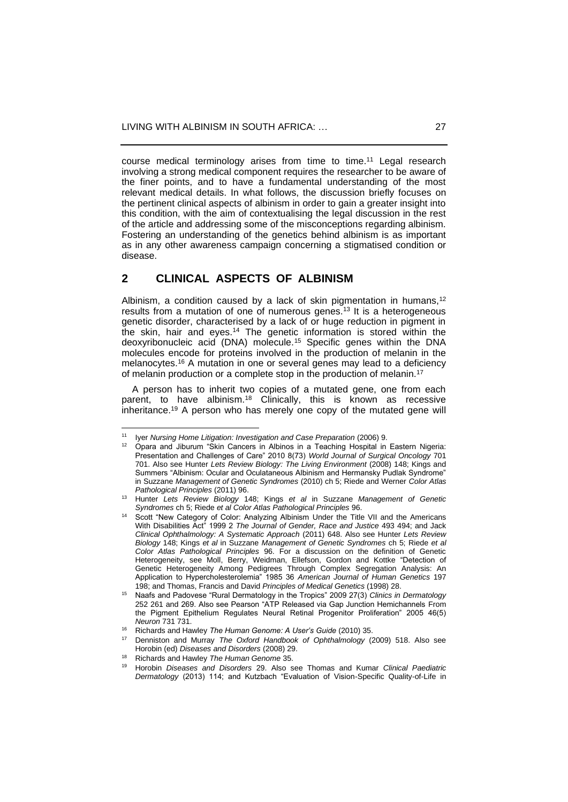course medical terminology arises from time to time.<sup>11</sup> Legal research involving a strong medical component requires the researcher to be aware of the finer points, and to have a fundamental understanding of the most relevant medical details. In what follows, the discussion briefly focuses on the pertinent clinical aspects of albinism in order to gain a greater insight into this condition, with the aim of contextualising the legal discussion in the rest of the article and addressing some of the misconceptions regarding albinism. Fostering an understanding of the genetics behind albinism is as important as in any other awareness campaign concerning a stigmatised condition or disease.

## **2 CLINICAL ASPECTS OF ALBINISM**

Albinism, a condition caused by a lack of skin pigmentation in humans,<sup>12</sup> results from a mutation of one of numerous genes.<sup>13</sup> It is a heterogeneous genetic disorder, characterised by a lack of or huge reduction in pigment in the skin, hair and eyes.<sup>14</sup> The genetic information is stored within the deoxyribonucleic acid (DNA) molecule.<sup>15</sup> Specific genes within the DNA molecules encode for proteins involved in the production of melanin in the melanocytes.<sup>16</sup> A mutation in one or several genes may lead to a deficiency of melanin production or a complete stop in the production of melanin.<sup>17</sup>

 A person has to inherit two copies of a mutated gene, one from each parent, to have albinism.<sup>18</sup> Clinically, this is known as recessive inheritance. <sup>19</sup> A person who has merely one copy of the mutated gene will

<sup>11</sup> Iyer *Nursing Home Litigation: Investigation and Case Preparation* (2006) 9.

<sup>&</sup>lt;sup>12</sup> Opara and Jiburum "Skin Cancers in Albinos in a Teaching Hospital in Eastern Nigeria: Presentation and Challenges of Care" 2010 8(73) *World Journal of Surgical Oncology* 701 701. Also see Hunter *Lets Review Biology: The Living Environment* (2008) 148; Kings and Summers "Albinism: Ocular and Oculataneous Albinism and Hermansky Pudlak Syndrome" in Suzzane *Management of Genetic Syndromes* (2010) ch 5; Riede and Werner *Color Atlas Pathological Principles* (2011) 96.

<sup>13</sup> Hunter *Lets Review Biology* 148; Kings *et al* in Suzzane *Management of Genetic Syndromes* ch 5; Riede *et al Color Atlas Pathological Principles* 96.

<sup>14</sup> Scott "New Category of Color: Analyzing Albinism Under the Title VII and the Americans With Disabilities Act" 1999 2 *The Journal of Gender, Race and Justice* 493 494; and Jack *Clinical Ophthalmology: A Systematic Approach* (2011) 648. Also see Hunter *Lets Review Biology* 148; Kings *et al* in Suzzane *Management of Genetic Syndromes* ch 5; Riede *et al Color Atlas Pathological Principles* 96. For a discussion on the definition of Genetic Heterogeneity, see Moll, [Berry,](https://pubmed.ncbi.nlm.nih.gov/?term=Berry+TD&cauthor_id=6607671) [Weidman,](https://pubmed.ncbi.nlm.nih.gov/?term=Weidman+WH&cauthor_id=6607671) [Ellefson,](https://pubmed.ncbi.nlm.nih.gov/?term=Ellefson+R&cauthor_id=6607671) [Gordon](https://pubmed.ncbi.nlm.nih.gov/?term=Gordon+H&cauthor_id=6607671) and [Kottke](https://pubmed.ncbi.nlm.nih.gov/?term=Kottke+BA&cauthor_id=6607671) "Detection of Genetic Heterogeneity Among Pedigrees Through Complex Segregation Analysis: An Application to Hypercholesterolemia" 1985 36 *American Journal of Human Genetics* 197 198; and Thomas, Francis and David *Principles of Medical Genetics* (1998) 28.

<sup>15</sup> Naafs and Padovese "Rural Dermatology in the Tropics" 2009 27(3) *Clinics in Dermatology* 252 261 and 269. Also see Pearson "ATP Released via Gap Junction Hemichannels From the Pigment Epithelium Regulates Neural Retinal Progenitor Proliferation" 2005 46(5) *Neuron* 731 731.

<sup>16</sup> Richards and Hawley *The Human Genome: A User's Guide* (2010) 35.

<sup>17</sup> Denniston and Murray *The Oxford Handbook of Ophthalmology* (2009) 518. Also see Horobin (ed) *Diseases and Disorders* (2008) 29.

<sup>18</sup> Richards and Hawley *The Human Genome* 35.

<sup>19</sup> Horobin *Diseases and Disorders* 29. Also see Thomas and Kumar *Clinical Paediatric Dermatology* (2013) 114; and Kutzbach "Evaluation of Vision-Specific Quality-of-Life in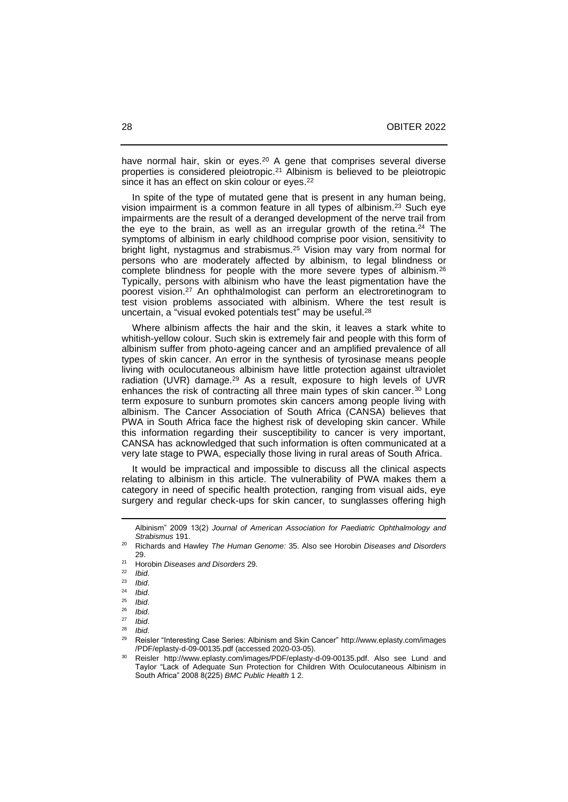have normal hair, skin or eyes.<sup>20</sup> A gene that comprises several diverse properties is considered pleiotropic.<sup>21</sup> Albinism is believed to be pleiotropic since it has an effect on skin colour or eyes.<sup>22</sup>

 In spite of the type of mutated gene that is present in any human being, vision impairment is a common feature in all types of albinism.<sup>23</sup> Such eye impairments are the result of a deranged development of the nerve trail from the eye to the brain, as well as an irregular growth of the retina. <sup>24</sup> The symptoms of albinism in early childhood comprise poor vision, sensitivity to bright light, nystagmus and strabismus.<sup>25</sup> Vision may vary from normal for persons who are moderately affected by albinism, to legal blindness or complete blindness for people with the more severe types of albinism.<sup>26</sup> Typically, persons with albinism who have the least pigmentation have the poorest vision.<sup>27</sup> An ophthalmologist can perform an electroretinogram to test vision problems associated with albinism. Where the test result is uncertain, a "visual evoked potentials test" may be useful.<sup>28</sup>

 Where albinism affects the hair and the skin, it leaves a stark white to whitish-yellow colour. Such skin is extremely fair and people with this form of albinism suffer from photo-ageing cancer and an amplified prevalence of all types of skin cancer. An error in the synthesis of tyrosinase means people living with oculocutaneous albinism have little protection against ultraviolet radiation (UVR) damage.<sup>29</sup> As a result, exposure to high levels of UVR enhances the risk of contracting all three main types of skin cancer.<sup>30</sup> Long term exposure to sunburn promotes skin cancers among people living with albinism. The Cancer Association of South Africa (CANSA) believes that PWA in South Africa face the highest risk of developing skin cancer. While this information regarding their susceptibility to cancer is very important, CANSA has acknowledged that such information is often communicated at a very late stage to PWA, especially those living in rural areas of South Africa.

 It would be impractical and impossible to discuss all the clinical aspects relating to albinism in this article. The vulnerability of PWA makes them a category in need of specific health protection, ranging from visual aids, eye surgery and regular check-ups for skin cancer, to sunglasses offering high

 $23$  *Ibid.*<br> $24$  *Ibid.* 

- $\frac{24}{25}$  *Ibid.*
- $rac{25}{26}$  *Ibid.*
- $rac{26}{27}$  *Ibid.*

Albinism" 2009 13(2) *Journal of American Association for Paediatric Ophthalmology and Strabismus* 191.

<sup>20</sup> Richards and Hawley *The Human Genome:* 35. Also see Horobin *Diseases and Disorders* 29.

<sup>21</sup> Horobin *Diseases and Disorders* 29.

 $\frac{22}{23}$  *Ibid.* 

 $\frac{27}{28}$  *Ibid.* 

 $^{28}$  *Ibid.* 

<sup>29</sup> Reisler "Interesting Case Series: Albinism and Skin Cancer" [http://www.eplasty.com/images](http://www.eplasty.com/images%20/PDF/eplasty-d-09-00135.pdf)  [/PDF/eplasty-d-09-00135.pdf](http://www.eplasty.com/images%20/PDF/eplasty-d-09-00135.pdf) (accessed 2020-03-05).

<sup>30</sup> Reisler [http://www.eplasty.com/images/PDF/eplasty-d-09-00135.pdf.](http://www.eplasty.com/images/PDF/eplasty-d-09-00135.pdf) Also see Lund and Taylor "Lack of Adequate Sun Protection for Children With Oculocutaneous Albinism in South Africa" 2008 8(225) *BMC Public Health* 1 2.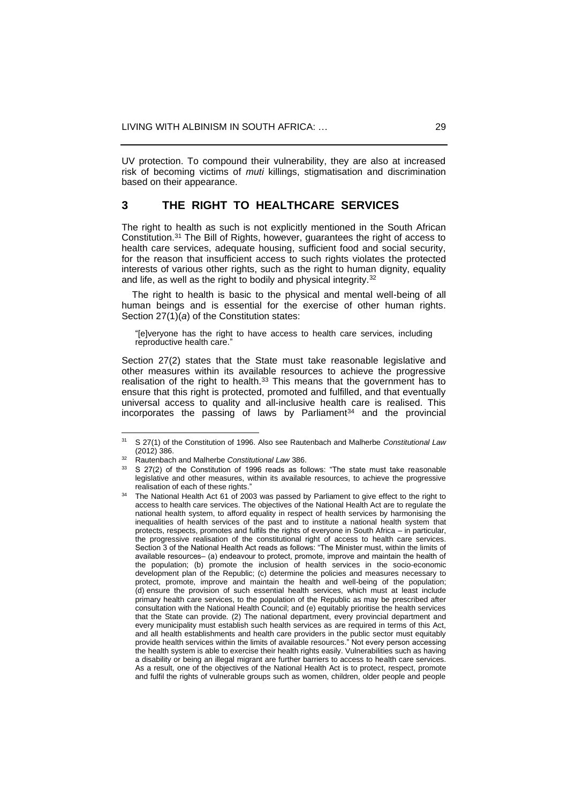UV protection. To compound their vulnerability, they are also at increased risk of becoming victims of *muti* killings, stigmatisation and discrimination based on their appearance.

### **3 THE RIGHT TO HEALTHCARE SERVICES**

The right to health as such is not explicitly mentioned in the South African Constitution.<sup>31</sup> The Bill of Rights, however, guarantees the right of access to health care services, adequate housing, sufficient food and social security, for the reason that insufficient access to such rights violates the protected interests of various other rights, such as the right to human dignity, equality and life, as well as the right to bodily and physical integrity.<sup>32</sup>

 The right to health is basic to the physical and mental well-being of all human beings and is essential for the exercise of other human rights. Section 27(1)(*a*) of the Constitution states:

"[e]veryone has the right to have access to health care services, including reproductive health care."

Section 27(2) states that the State must take reasonable legislative and other measures within its available resources to achieve the progressive realisation of the right to health.<sup>33</sup> This means that the government has to ensure that this right is protected, promoted and fulfilled, and that eventually universal access to quality and all-inclusive health care is realised. This incorporates the passing of laws by Parliament<sup>34</sup> and the provincial

<sup>31</sup> S 27(1) of the Constitution of 1996. Also see Rautenbach and Malherbe *Constitutional Law* (2012) 386.

<sup>32</sup> Rautenbach and Malherbe *Constitutional Law* 386.

<sup>33</sup> S 27(2) of the Constitution of 1996 reads as follows: "The state must take reasonable legislative and other measures, within its available resources, to achieve the progressive realisation of each of these rights.

The National Health Act 61 of 2003 was passed by Parliament to give effect to the right to access to health care services. The objectives of the National Health Act are to regulate the national health system, to afford equality in respect of health services by harmonising the inequalities of health services of the past and to institute a national health system that protects, respects, promotes and fulfils the rights of everyone in South Africa – in particular, the progressive realisation of the constitutional right of access to health care services. Section 3 of the National Health Act reads as follows: "The Minister must, within the limits of available resources- (a) endeavour to protect, promote, improve and maintain the health of the population; (b) promote the inclusion of health services in the socio-economic development plan of the Republic; (c) determine the policies and measures necessary to protect, promote, improve and maintain the health and well-being of the population; (d) ensure the provision of such essential health services, which must at least include primary health care services, to the population of the Republic as may be prescribed after consultation with the National Health Council; and (e) equitably prioritise the health services that the State can provide. (2) The national department, every provincial department and every municipality must establish such health services as are required in terms of this Act, and all health establishments and health care providers in the public sector must equitably provide health services within the limits of available resources." Not every person accessing the health system is able to exercise their health rights easily. Vulnerabilities such as having a disability or being an illegal migrant are further barriers to access to health care services. As a result, one of the objectives of the National Health Act is to protect, respect, promote and fulfil the rights of vulnerable groups such as women, children, older people and people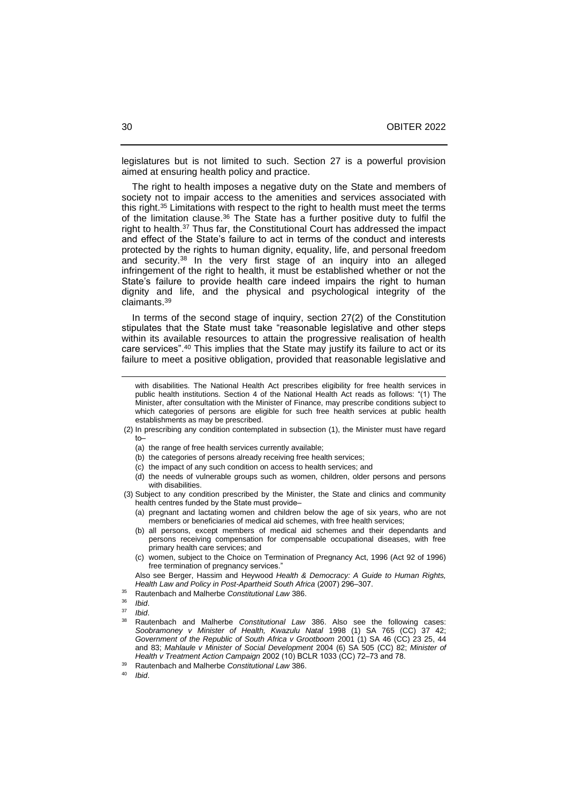legislatures but is not limited to such. Section 27 is a powerful provision aimed at ensuring health policy and practice.

 The right to health imposes a negative duty on the State and members of society not to impair access to the amenities and services associated with this right.<sup>35</sup> Limitations with respect to the right to health must meet the terms of the limitation clause.<sup>36</sup> The State has a further positive duty to fulfil the right to health.<sup>37</sup> Thus far, the Constitutional Court has addressed the impact and effect of the State's failure to act in terms of the conduct and interests protected by the rights to human dignity, equality, life, and personal freedom and security.<sup>38</sup> In the very first stage of an inquiry into an alleged infringement of the right to health, it must be established whether or not the State's failure to provide health care indeed impairs the right to human dignity and life, and the physical and psychological integrity of the claimants.<sup>39</sup>

 In terms of the second stage of inquiry, section 27(2) of the Constitution stipulates that the State must take "reasonable legislative and other steps within its available resources to attain the progressive realisation of health care services".<sup>40</sup> This implies that the State may justify its failure to act or its failure to meet a positive obligation, provided that reasonable legislative and

- (2) In prescribing any condition contemplated in subsection (1), the Minister must have regard  $to$ 
	- (a) the range of free health services currently available;
	- (b) the categories of persons already receiving free health services;
	- (c) the impact of any such condition on access to health services; and
	- (d) the needs of vulnerable groups such as women, children, older persons and persons with disabilities.
- (3) Subject to any condition prescribed by the Minister, the State and clinics and community health centres funded by the State must provide-
	- (a) pregnant and lactating women and children below the age of six years, who are not members or beneficiaries of medical aid schemes, with free health services;
	- (b) all persons, except members of medical aid schemes and their dependants and persons receiving compensation for compensable occupational diseases, with free primary health care services; and
	- (c) women, subject to the Choice on Termination of Pregnancy Act, 1996 (Act 92 of 1996) free termination of pregnancy services.'

Also see Berger, Hassim and Heywood *Health & Democracy: A Guide to Human Rights, Health Law and Policy in Post-Apartheid South Africa* (2007) 296‒307.

- <sup>35</sup> Rautenbach and Malherbe *Constitutional Law* 386.
- <sup>36</sup> *Ibid*.

<sup>37</sup> *Ibid*.

<sup>38</sup> Rautenbach and Malherbe *Constitutional Law* 386. Also see the following cases: *Soobramoney v Minister of Health, Kwazulu Natal* 1998 (1) SA 765 (CC) 37 42; *Government of the Republic of South Africa v Grootboom* 2001 (1) SA 46 (CC) 23 25, 44 and 83; *Mahlaule v Minister of Social Development* 2004 (6) SA 505 (CC) 82; *Minister of Health v Treatment Action Campaign* 2002 (10) BCLR 1033 (CC) 72–73 and 78.

<sup>40</sup> *Ibid*.

with disabilities. The National Health Act prescribes eligibility for free health services in public health institutions. Section 4 of the National Health Act reads as follows: "(1) The Minister, after consultation with the Minister of Finance, may prescribe conditions subject to which categories of persons are eligible for such free health services at public health establishments as may be prescribed.

<sup>39</sup> Rautenbach and Malherbe *Constitutional Law* 386.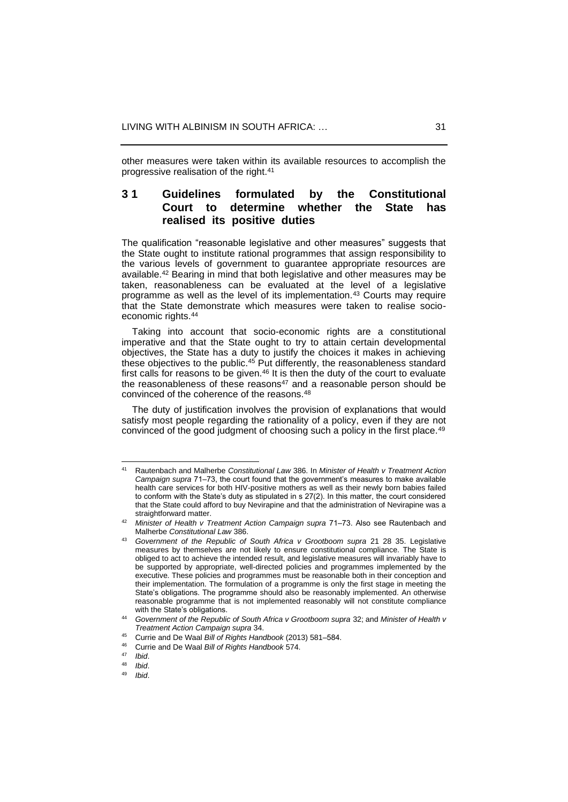other measures were taken within its available resources to accomplish the progressive realisation of the right.<sup>41</sup>

## **3 1 Guidelines formulated by the Constitutional Court to determine whether the State has realised its positive duties**

The qualification "reasonable legislative and other measures" suggests that the State ought to institute rational programmes that assign responsibility to the various levels of government to guarantee appropriate resources are available.<sup>42</sup> Bearing in mind that both legislative and other measures may be taken, reasonableness can be evaluated at the level of a legislative programme as well as the level of its implementation.<sup>43</sup> Courts may require that the State demonstrate which measures were taken to realise socioeconomic rights.<sup>44</sup>

 Taking into account that socio-economic rights are a constitutional imperative and that the State ought to try to attain certain developmental objectives, the State has a duty to justify the choices it makes in achieving these objectives to the public.<sup>45</sup> Put differently, the reasonableness standard first calls for reasons to be given.<sup>46</sup> It is then the duty of the court to evaluate the reasonableness of these reasons<sup>47</sup> and a reasonable person should be convinced of the coherence of the reasons.<sup>48</sup>

 The duty of justification involves the provision of explanations that would satisfy most people regarding the rationality of a policy, even if they are not convinced of the good judgment of choosing such a policy in the first place.<sup>49</sup>

<sup>41</sup> Rautenbach and Malherbe *Constitutional Law* 386. In *Minister of Health v Treatment Action Campaign supra* 71‒73, the court found that the government's measures to make available health care services for both HIV-positive mothers as well as their newly born babies failed to conform with the State's duty as stipulated in s 27(2). In this matter, the court considered that the State could afford to buy Nevirapine and that the administration of Nevirapine was a straightforward matter.

*Minister of Health v Treatment Action Campaign supra 71–73. Also see Rautenbach and* Malherbe *Constitutional Law* 386.

<sup>43</sup> *Government of the Republic of South Africa v Grootboom supra* 21 28 35. Legislative measures by themselves are not likely to ensure constitutional compliance. The State is obliged to act to achieve the intended result, and legislative measures will invariably have to be supported by appropriate, well-directed policies and programmes implemented by the executive. These policies and programmes must be reasonable both in their conception and their implementation. The formulation of a programme is only the first stage in meeting the State's obligations. The programme should also be reasonably implemented. An otherwise reasonable programme that is not implemented reasonably will not constitute compliance with the State's obligations.

<sup>44</sup> *Government of the Republic of South Africa v Grootboom supra* 32; and *Minister of Health v Treatment Action Campaign supra* 34.

<sup>45</sup> Currie and De Waal *Bill of Rights Handbook* (2013) 581‒584.

<sup>46</sup> Currie and De Waal *Bill of Rights Handbook* 574.

<sup>47</sup> *Ibid*.

<sup>48</sup> *Ibid*.

<sup>49</sup> *Ibid*.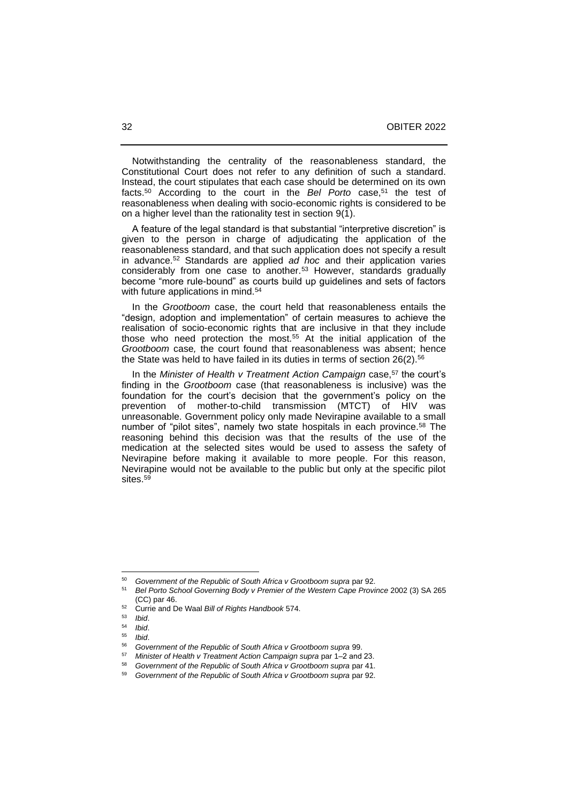Notwithstanding the centrality of the reasonableness standard, the Constitutional Court does not refer to any definition of such a standard. Instead, the court stipulates that each case should be determined on its own facts.<sup>50</sup> According to the court in the *Bel Porto* case,<sup>51</sup> the test of reasonableness when dealing with socio-economic rights is considered to be on a higher level than the rationality test in section 9(1).

 A feature of the legal standard is that substantial "interpretive discretion" is given to the person in charge of adjudicating the application of the reasonableness standard, and that such application does not specify a result in advance.<sup>52</sup> Standards are applied *ad hoc* and their application varies considerably from one case to another.<sup>53</sup> However, standards gradually become "more rule-bound" as courts build up guidelines and sets of factors with future applications in mind.<sup>54</sup>

 In the *Grootboom* case, the court held that reasonableness entails the "design, adoption and implementation" of certain measures to achieve the realisation of socio-economic rights that are inclusive in that they include those who need protection the most.<sup>55</sup> At the initial application of the *Grootboom* case*,* the court found that reasonableness was absent; hence the State was held to have failed in its duties in terms of section 26(2).<sup>56</sup>

In the *Minister of Health v Treatment Action Campaign* case,<sup>57</sup> the court's finding in the *Grootboom* case (that reasonableness is inclusive) was the foundation for the court's decision that the government's policy on the prevention of mother-to-child transmission (MTCT) of HIV was unreasonable. Government policy only made Nevirapine available to a small number of "pilot sites", namely two state hospitals in each province.<sup>58</sup> The reasoning behind this decision was that the results of the use of the medication at the selected sites would be used to assess the safety of Nevirapine before making it available to more people. For this reason, Nevirapine would not be available to the public but only at the specific pilot sites.<sup>59</sup>

<sup>50</sup> *Government of the Republic of South Africa v Grootboom supra* par 92.

<sup>51</sup> *Bel Porto School Governing Body v Premier of the Western Cape Province* 2002 (3) SA 265 (CC) par 46.

<sup>52</sup> Currie and De Waal *Bill of Rights Handbook* 574.

<sup>53</sup> *Ibid*.

<sup>54</sup> *Ibid*.

<sup>55</sup> *Ibid*.

<sup>56</sup> *Government of the Republic of South Africa v Grootboom supra* 99.

<sup>57</sup> *Minister of Health v Treatment Action Campaign supra par 1–2 and 23.*<br>58 Causeways of the Danublic of South Africa v Creathoom supra par 41.

<sup>58</sup> *Government of the Republic of South Africa v Grootboom supra* par 41.

<sup>59</sup> *Government of the Republic of South Africa v Grootboom supra* par 92.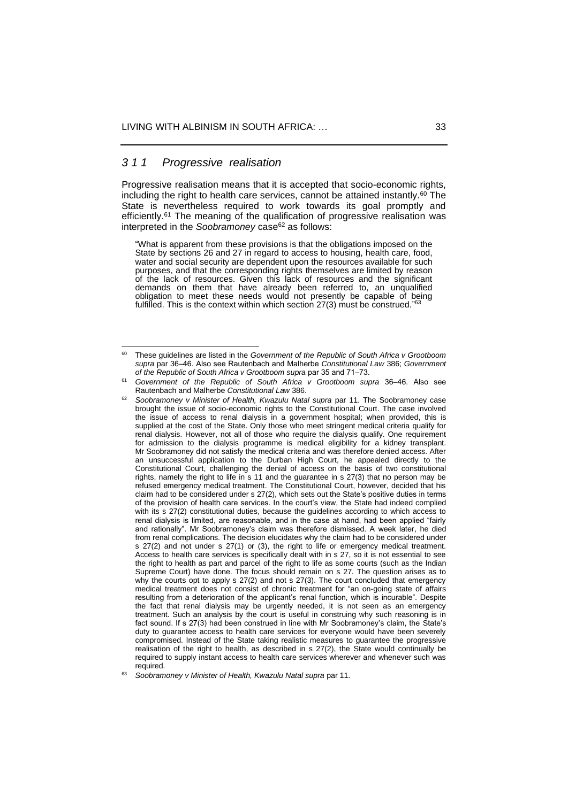### *3 1 1 Progressive realisation*

Progressive realisation means that it is accepted that socio-economic rights, including the right to health care services, cannot be attained instantly. $60$  The State is nevertheless required to work towards its goal promptly and efficiently.<sup>61</sup> The meaning of the qualification of progressive realisation was interpreted in the *Soobramoney* case<sup>62</sup> as follows:

"What is apparent from these provisions is that the obligations imposed on the State by sections 26 and 27 in regard to access to housing, health care, food, water and social security are dependent upon the resources available for such purposes, and that the corresponding rights themselves are limited by reason of the lack of resources. Given this lack of resources and the significant demands on them that have already been referred to, an unqualified obligation to meet these needs would not presently be capable of being fulfilled. This is the context within which section 27(3) must be construed."<sup>63</sup>

<sup>60</sup> These guidelines are listed in the *Government of the Republic of South Africa v Grootboom supra* par 36‒46. Also see Rautenbach and Malherbe *Constitutional Law* 386; *Government of the Republic of South Africa v Grootboom supra* par 35 and 71‒73.

<sup>&</sup>lt;sup>61</sup> Government of the Republic of South Africa v Grootboom supra 36–46. Also see Rautenbach and Malherbe *Constitutional Law* 386.

<sup>62</sup> *Soobramoney v Minister of Health, Kwazulu Natal supra* par 11. The Soobramoney case brought the issue of socio-economic rights to the Constitutional Court. The case involved the issue of access to renal dialysis in a government hospital; when provided, this is supplied at the cost of the State. Only those who meet stringent medical criteria qualify for renal dialysis. However, not all of those who require the dialysis qualify. One requirement for admission to the dialysis programme is medical eligibility for a kidney transplant. Mr Soobramoney did not satisfy the medical criteria and was therefore denied access. After an unsuccessful application to the Durban High Court, he appealed directly to the Constitutional Court, challenging the denial of access on the basis of two constitutional rights, namely the right to life in s 11 and the guarantee in s 27(3) that no person may be refused emergency medical treatment. The Constitutional Court, however, decided that his claim had to be considered under s 27(2), which sets out the State's positive duties in terms of the provision of health care services. In the court's view, the State had indeed complied with its s 27(2) constitutional duties, because the guidelines according to which access to renal dialysis is limited, are reasonable, and in the case at hand, had been applied "fairly and rationally". Mr Soobramoney's claim was therefore dismissed. A week later, he died from renal complications. The decision elucidates why the claim had to be considered under s 27(2) and not under s 27(1) or (3), the right to life or emergency medical treatment. Access to health care services is specifically dealt with in s 27, so it is not essential to see the right to health as part and parcel of the right to life as some courts (such as the Indian Supreme Court) have done. The focus should remain on s 27. The question arises as to why the courts opt to apply s 27(2) and not s 27(3). The court concluded that emergency medical treatment does not consist of chronic treatment for "an on-going state of affairs resulting from a deterioration of the applicant's renal function, which is incurable". Despite the fact that renal dialysis may be urgently needed, it is not seen as an emergency treatment. Such an analysis by the court is useful in construing why such reasoning is in fact sound. If s 27(3) had been construed in line with Mr Soobramoney's claim, the State's duty to guarantee access to health care services for everyone would have been severely compromised. Instead of the State taking realistic measures to guarantee the progressive realisation of the right to health, as described in s 27(2), the State would continually be required to supply instant access to health care services wherever and whenever such was required.

<sup>63</sup> *Soobramoney v Minister of Health, Kwazulu Natal supra* par 11.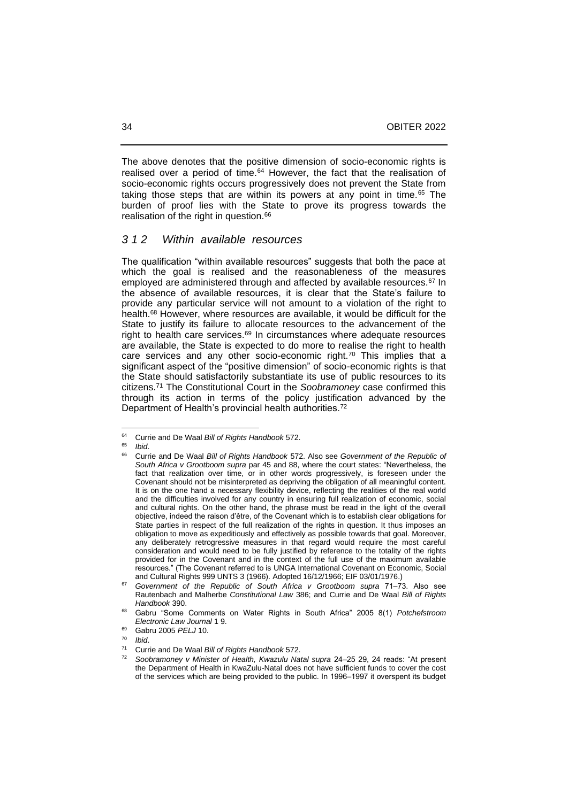The above denotes that the positive dimension of socio-economic rights is realised over a period of time.<sup>64</sup> However, the fact that the realisation of socio-economic rights occurs progressively does not prevent the State from taking those steps that are within its powers at any point in time.<sup>65</sup> The burden of proof lies with the State to prove its progress towards the realisation of the right in question.<sup>66</sup>

### *3 1 2 Within available resources*

The qualification "within available resources" suggests that both the pace at which the goal is realised and the reasonableness of the measures employed are administered through and affected by available resources.<sup>67</sup> In the absence of available resources, it is clear that the State's failure to provide any particular service will not amount to a violation of the right to health.<sup>68</sup> However, where resources are available, it would be difficult for the State to justify its failure to allocate resources to the advancement of the right to health care services.<sup>69</sup> In circumstances where adequate resources are available, the State is expected to do more to realise the right to health care services and any other socio-economic right.<sup>70</sup> This implies that a significant aspect of the "positive dimension" of socio-economic rights is that the State should satisfactorily substantiate its use of public resources to its citizens.<sup>71</sup> The Constitutional Court in the *Soobramoney* case confirmed this through its action in terms of the policy justification advanced by the Department of Health's provincial health authorities.<sup>72</sup>

<sup>64</sup> Currie and De Waal *Bill of Rights Handbook* 572.

<sup>65</sup> *Ibid*.

<sup>66</sup> Currie and De Waal *Bill of Rights Handbook* 572. Also see *Government of the Republic of South Africa v Grootboom supra* par 45 and 88, where the court states: "Nevertheless, the fact that realization over time, or in other words progressively, is foreseen under the Covenant should not be misinterpreted as depriving the obligation of all meaningful content. It is on the one hand a necessary flexibility device, reflecting the realities of the real world and the difficulties involved for any country in ensuring full realization of economic, social and cultural rights. On the other hand, the phrase must be read in the light of the overall objective, indeed the raison d'être, of the Covenant which is to establish clear obligations for State parties in respect of the full realization of the rights in question. It thus imposes an obligation to move as expeditiously and effectively as possible towards that goal. Moreover, any deliberately retrogressive measures in that regard would require the most careful consideration and would need to be fully justified by reference to the totality of the rights provided for in the Covenant and in the context of the full use of the maximum available resources." (The Covenant referred to is UNGA International Covenant on Economic, Social and Cultural Rights 999 UNTS 3 (1966). Adopted 16/12/1966; EIF 03/01/1976.)

<sup>&</sup>lt;sup>67</sup> Government of the Republic of South Africa v Grootboom supra 71–73. Also see Rautenbach and Malherbe *Constitutional Law* 386; and Currie and De Waal *Bill of Rights Handbook* 390.

<sup>68</sup> Gabru "Some Comments on Water Rights in South Africa" 2005 8(1) *Potchefstroom Electronic Law Journal* 1 9.

<sup>69</sup> Gabru 2005 *PELJ* 10.

<sup>70</sup> *Ibid*.

<sup>71</sup> Currie and De Waal *Bill of Rights Handbook* 572.

<sup>72</sup> *Soobramoney v Minister of Health, Kwazulu Natal supra* 24‒25 29, 24 reads: "At present the Department of Health in KwaZulu-Natal does not have sufficient funds to cover the cost of the services which are being provided to the public. In 1996–1997 it overspent its budget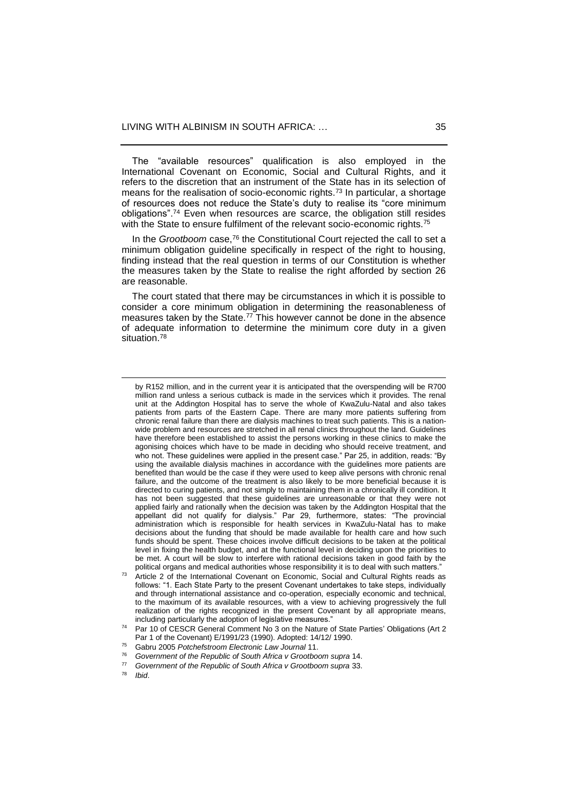The "available resources" qualification is also employed in the International Covenant on Economic, Social and Cultural Rights, and it refers to the discretion that an instrument of the State has in its selection of means for the realisation of socio-economic rights.<sup>73</sup> In particular, a shortage of resources does not reduce the State's duty to realise its "core minimum obligations".<sup>74</sup> Even when resources are scarce, the obligation still resides with the State to ensure fulfilment of the relevant socio-economic rights.<sup>75</sup>

 In the *Grootboom* case,<sup>76</sup> the Constitutional Court rejected the call to set a minimum obligation guideline specifically in respect of the right to housing, finding instead that the real question in terms of our Constitution is whether the measures taken by the State to realise the right afforded by section 26 are reasonable.

 The court stated that there may be circumstances in which it is possible to consider a core minimum obligation in determining the reasonableness of measures taken by the State.<sup>77</sup> This however cannot be done in the absence of adequate information to determine the minimum core duty in a given situation.<sup>78</sup>

by R152 million, and in the current year it is anticipated that the overspending will be R700 million rand unless a serious cutback is made in the services which it provides. The renal unit at the Addington Hospital has to serve the whole of KwaZulu-Natal and also takes patients from parts of the Eastern Cape. There are many more patients suffering from chronic renal failure than there are dialysis machines to treat such patients. This is a nationwide problem and resources are stretched in all renal clinics throughout the land. Guidelines have therefore been established to assist the persons working in these clinics to make the agonising choices which have to be made in deciding who should receive treatment, and who not. These guidelines were applied in the present case." Par 25, in addition, reads: "By using the available dialysis machines in accordance with the guidelines more patients are benefited than would be the case if they were used to keep alive persons with chronic renal failure, and the outcome of the treatment is also likely to be more beneficial because it is directed to curing patients, and not simply to maintaining them in a chronically ill condition. It has not been suggested that these guidelines are unreasonable or that they were not applied fairly and rationally when the decision was taken by the Addington Hospital that the appellant did not qualify for dialysis." Par 29, furthermore, states: "The provincial administration which is responsible for health services in KwaZulu-Natal has to make decisions about the funding that should be made available for health care and how such funds should be spent. These choices involve difficult decisions to be taken at the political level in fixing the health budget, and at the functional level in deciding upon the priorities to be met. A court will be slow to interfere with rational decisions taken in good faith by the political organs and medical authorities whose responsibility it is to deal with such matters."

Article 2 of the International Covenant on Economic, Social and Cultural Rights reads as follows: "1. Each State Party to the present Covenant undertakes to take steps, individually and through international assistance and co-operation, especially economic and technical, to the maximum of its available resources, with a view to achieving progressively the full realization of the rights recognized in the present Covenant by all appropriate means, including particularly the adoption of legislative measures."

<sup>74</sup> Par 10 of CESCR General Comment No 3 on the Nature of State Parties' Obligations (Art 2 Par 1 of the Covenant) E/1991/23 (1990). Adopted: 14/12/ 1990.

<sup>75</sup> Gabru 2005 *Potchefstroom Electronic Law Journal* 11.

<sup>76</sup> *Government of the Republic of South Africa v Grootboom supra* 14.

<sup>&</sup>lt;sup>77</sup> Government of the Republic of South Africa v Grootboom supra 33.

<sup>78</sup> *Ibid*.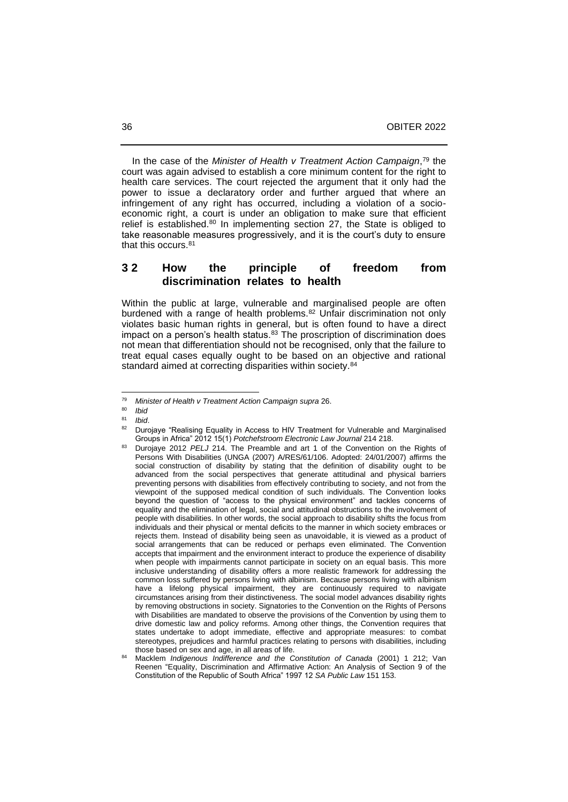In the case of the *Minister of Health v Treatment Action Campaign*, <sup>79</sup> the court was again advised to establish a core minimum content for the right to health care services. The court rejected the argument that it only had the power to issue a declaratory order and further argued that where an infringement of any right has occurred, including a violation of a socioeconomic right, a court is under an obligation to make sure that efficient relief is established.<sup>80</sup> In implementing section 27, the State is obliged to take reasonable measures progressively, and it is the court's duty to ensure that this occurs.<sup>81</sup>

## **3 2 How the principle of freedom from discrimination relates to health**

Within the public at large, vulnerable and marginalised people are often burdened with a range of health problems.<sup>82</sup> Unfair discrimination not only violates basic human rights in general, but is often found to have a direct impact on a person's health status. $83$  The proscription of discrimination does not mean that differentiation should not be recognised, only that the failure to treat equal cases equally ought to be based on an objective and rational standard aimed at correcting disparities within society.<sup>84</sup>

<sup>79</sup> *Minister of Health v Treatment Action Campaign supra* 26.

 $\frac{80}{81}$  *Ibid* 

<sup>81</sup> *Ibid*.

<sup>82</sup> Durojaye "Realising Equality in Access to HIV Treatment for Vulnerable and Marginalised Groups in Africa" 2012 15(1) *Potchefstroom Electronic Law Journal* 214 218.

<sup>83</sup> Durojaye 2012 *PELJ* 214. The Preamble and art 1 of the Convention on the Rights of Persons With Disabilities (UNGA (2007) A/RES/61/106. Adopted: 24/01/2007) affirms the social construction of disability by stating that the definition of disability ought to be advanced from the social perspectives that generate attitudinal and physical barriers preventing persons with disabilities from effectively contributing to society, and not from the viewpoint of the supposed medical condition of such individuals. The Convention looks beyond the question of "access to the physical environment" and tackles concerns of equality and the elimination of legal, social and attitudinal obstructions to the involvement of people with disabilities. In other words, the social approach to disability shifts the focus from individuals and their physical or mental deficits to the manner in which society embraces or rejects them. Instead of disability being seen as unavoidable, it is viewed as a product of social arrangements that can be reduced or perhaps even eliminated. The Convention accepts that impairment and the environment interact to produce the experience of disability when people with impairments cannot participate in society on an equal basis. This more inclusive understanding of disability offers a more realistic framework for addressing the common loss suffered by persons living with albinism. Because persons living with albinism have a lifelong physical impairment, they are continuously required to navigate circumstances arising from their distinctiveness. The social model advances disability rights by removing obstructions in society. Signatories to the Convention on the Rights of Persons with Disabilities are mandated to observe the provisions of the Convention by using them to drive domestic law and policy reforms. Among other things, the Convention requires that states undertake to adopt immediate, effective and appropriate measures: to combat stereotypes, prejudices and harmful practices relating to persons with disabilities, including those based on sex and age, in all areas of life.

<sup>84</sup> Macklem *Indigenous Indifference and the Constitution of Canada* (2001) 1 212; Van Reenen "Equality, Discrimination and Affirmative Action: An Analysis of Section 9 of the Constitution of the Republic of South Africa" 1997 12 *SA Public Law* 151 153.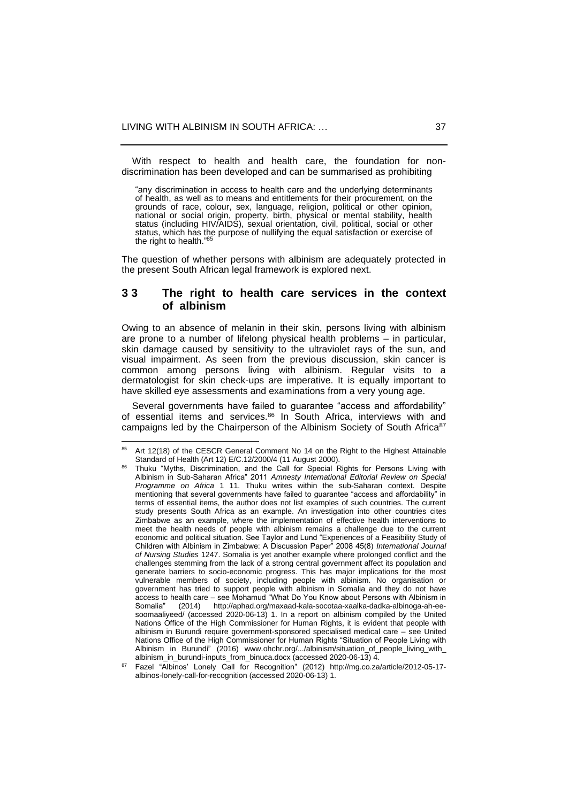With respect to health and health care, the foundation for nondiscrimination has been developed and can be summarised as prohibiting

"any discrimination in access to health care and the underlying determinants of health, as well as to means and entitlements for their procurement, on the grounds of race, colour, sex, language, religion, political or other opinion, national or social origin, property, birth, physical or mental stability, health status (including HIV/AIDS), sexual orientation, civil, political, social or other status, which has the purpose of nullifying the equal satisfaction or exercise of the right to health." 85

The question of whether persons with albinism are adequately protected in the present South African legal framework is explored next.

## **3 3 The right to health care services in the context of albinism**

Owing to an absence of melanin in their skin, persons living with albinism are prone to a number of lifelong physical health problems – in particular, skin damage caused by sensitivity to the ultraviolet rays of the sun, and visual impairment. As seen from the previous discussion, skin cancer is common among persons living with albinism. Regular visits to a dermatologist for skin check-ups are imperative. It is equally important to have skilled eye assessments and examinations from a very young age.

 Several governments have failed to guarantee "access and affordability" of essential items and services.<sup>86</sup> In South Africa, interviews with and campaigns led by the Chairperson of the Albinism Society of South Africa<sup>87</sup>

Art 12(18) of the CESCR General Comment No 14 on the Right to the Highest Attainable Standard of Health (Art 12) E/C.12/2000/4 (11 August 2000).

<sup>86</sup> Thuku "Myths, Discrimination, and the Call for Special Rights for Persons Living with Albinism in Sub-Saharan Africa" 2011 *Amnesty International Editorial Review on Special Programme on Africa* 1 11. Thuku writes within the sub-Saharan context. Despite mentioning that several governments have failed to guarantee "access and affordability" in terms of essential items, the author does not list examples of such countries. The current study presents South Africa as an example. An investigation into other countries cites Zimbabwe as an example, where the implementation of effective health interventions to meet the health needs of people with albinism remains a challenge due to the current economic and political situation. See Taylor and Lund "Experiences of a Feasibility Study of Children with Albinism in Zimbabwe: A Discussion Paper" 2008 45(8) *International Journal of Nursing Studies* 1247. Somalia is yet another example where prolonged conflict and the challenges stemming from the lack of a strong central government affect its population and generate barriers to socio-economic progress. This has major implications for the most vulnerable members of society, including people with albinism. No organisation or government has tried to support people with albinism in Somalia and they do not have access to health care – see Mohamud "What Do You Know about Persons with Albinism in Somalia" (2014) http://aphad.org/maxaad-kala-socotaa-xaalka-dadka-albinoga-ah-eesoomaaliyeed/ (accessed 2020-06-13) 1. In a report on albinism compiled by the United Nations Office of the High Commissioner for Human Rights, it is evident that people with albinism in Burundi require government-sponsored specialised medical care – see United Nations Office of the High Commissioner for Human Rights "Situation of People Living with Albinism in Burundi" (2016) [www.ohchr.org/.../albinism/situation\\_of\\_people\\_living\\_with\\_](http://www.ohchr.org/.../albinism/situation_of_people_living_with_%20albinism_in_burundi-)  [albinism\\_in\\_burundi-in](http://www.ohchr.org/.../albinism/situation_of_people_living_with_%20albinism_in_burundi-)puts\_from\_binuca.docx (accessed 2020-06-13) 4.

<sup>87</sup> Fazel "Albinos' Lonely Call for Recognition" (2012) [http://mg.co.za/article/2012-05-17](http://mg.co.za/article/2012-05-17-) albinos-lonely-call-for-recognition (accessed 2020-06-13) 1.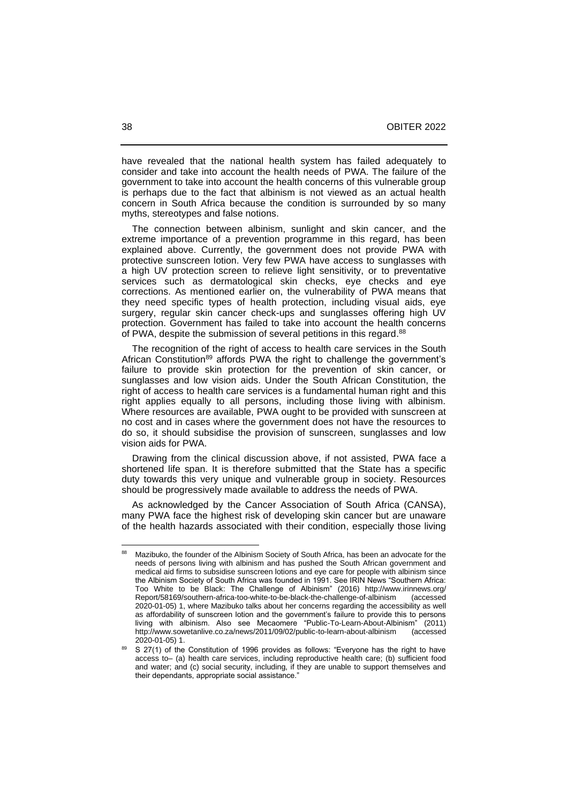have revealed that the national health system has failed adequately to consider and take into account the health needs of PWA. The failure of the government to take into account the health concerns of this vulnerable group is perhaps due to the fact that albinism is not viewed as an actual health concern in South Africa because the condition is surrounded by so many myths, stereotypes and false notions.

 The connection between albinism, sunlight and skin cancer, and the extreme importance of a prevention programme in this regard, has been explained above. Currently, the government does not provide PWA with protective sunscreen lotion. Very few PWA have access to sunglasses with a high UV protection screen to relieve light sensitivity, or to preventative services such as dermatological skin checks, eye checks and eye corrections. As mentioned earlier on, the vulnerability of PWA means that they need specific types of health protection, including visual aids, eye surgery, regular skin cancer check-ups and sunglasses offering high UV protection. Government has failed to take into account the health concerns of PWA, despite the submission of several petitions in this regard.<sup>88</sup>

 The recognition of the right of access to health care services in the South African Constitution<sup>89</sup> affords PWA the right to challenge the government's failure to provide skin protection for the prevention of skin cancer, or sunglasses and low vision aids. Under the South African Constitution, the right of access to health care services is a fundamental human right and this right applies equally to all persons, including those living with albinism. Where resources are available, PWA ought to be provided with sunscreen at no cost and in cases where the government does not have the resources to do so, it should subsidise the provision of sunscreen, sunglasses and low vision aids for PWA.

 Drawing from the clinical discussion above, if not assisted, PWA face a shortened life span. It is therefore submitted that the State has a specific duty towards this very unique and vulnerable group in society. Resources should be progressively made available to address the needs of PWA.

 As acknowledged by the Cancer Association of South Africa (CANSA), many PWA face the highest risk of developing skin cancer but are unaware of the health hazards associated with their condition, especially those living

<sup>88</sup> Mazibuko, the founder of the Albinism Society of South Africa, has been an advocate for the needs of persons living with albinism and has pushed the South African government and medical aid firms to subsidise sunscreen lotions and eye care for people with albinism since the Albinism Society of South Africa was founded in 1991. See IRIN News "Southern Africa: Too White to be Black: The Challenge of Albinism" (2016) [http://www.irinnews.org/](http://www.irinnews.org/Report/58169/southern-africa-too-white-to-be-black-the-) [Report/58169/southern-africa-too-white-to-be-black-the-c](http://www.irinnews.org/Report/58169/southern-africa-too-white-to-be-black-the-)hallenge-of-albinism (accessed 2020-01-05) 1, where Mazibuko talks about her concerns regarding the accessibility as well as affordability of sunscreen lotion and the government's failure to provide this to persons living with albinism. Also see Mecaomere "Public-To-Learn-About-Albinism" (2011) <http://www.sowetanlive.co.za/news/2011/09/02/public-to-learn-about-albinism> 2020-01-05) 1.

<sup>89</sup> S 27(1) of the Constitution of 1996 provides as follows: "Everyone has the right to have access to– (a) health care services, including reproductive health care; (b) sufficient food and water; and (c) social security, including, if they are unable to support themselves and their dependants, appropriate social assistance."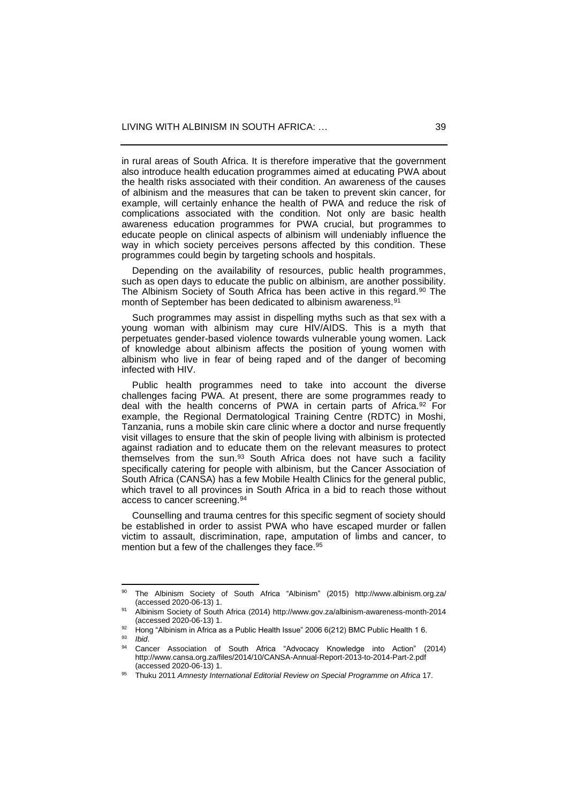in rural areas of South Africa. It is therefore imperative that the government also introduce health education programmes aimed at educating PWA about the health risks associated with their condition. An awareness of the causes of albinism and the measures that can be taken to prevent skin cancer, for example, will certainly enhance the health of PWA and reduce the risk of complications associated with the condition. Not only are basic health awareness education programmes for PWA crucial, but programmes to educate people on clinical aspects of albinism will undeniably influence the way in which society perceives persons affected by this condition. These programmes could begin by targeting schools and hospitals.

 Depending on the availability of resources, public health programmes, such as open days to educate the public on albinism, are another possibility. The Albinism Society of South Africa has been active in this regard.<sup>90</sup> The month of September has been dedicated to albinism awareness.<sup>91</sup>

 Such programmes may assist in dispelling myths such as that sex with a young woman with albinism may cure HIV/AIDS. This is a myth that perpetuates gender-based violence towards vulnerable young women. Lack of knowledge about albinism affects the position of young women with albinism who live in fear of being raped and of the danger of becoming infected with HIV.

 Public health programmes need to take into account the diverse challenges facing PWA. At present, there are some programmes ready to deal with the health concerns of PWA in certain parts of Africa.<sup>92</sup> For example, the Regional Dermatological Training Centre (RDTC) in Moshi, Tanzania, runs a mobile skin care clinic where a doctor and nurse frequently visit villages to ensure that the skin of people living with albinism is protected against radiation and to educate them on the relevant measures to protect themselves from the sun.<sup>93</sup> South Africa does not have such a facility specifically catering for people with albinism, but the Cancer Association of South Africa (CANSA) has a few Mobile Health Clinics for the general public, which travel to all provinces in South Africa in a bid to reach those without access to cancer screening.<sup>94</sup>

 Counselling and trauma centres for this specific segment of society should be established in order to assist PWA who have escaped murder or fallen victim to assault, discrimination, rape, amputation of limbs and cancer, to mention but a few of the challenges they face. 95

<sup>90</sup> The Albinism Society of South Africa "Albinism" (2015) <http://www.albinism.org.za/> (accessed 2020-06-13) 1.

<sup>91</sup> Albinism Society of South Africa (2014) <http://www.gov.za/albinism-awareness-month-2014> (accessed 2020-06-13) 1.

 $92$  Hong "Albinism in Africa as a Public Health Issue" 2006 6(212) BMC Public Health 1 6. <sup>93</sup> *Ibid*.

<sup>94</sup> Cancer Association of South Africa "Advocacy Knowledge into Action" (2014) <http://www.cansa.org.za/files/2014/10/CANSA-Annual-Report-2013-to-2014-Part-2.pdf> (accessed 2020-06-13) 1.

<sup>95</sup> Thuku 2011 *Amnesty International Editorial Review on Special Programme on Africa* 17.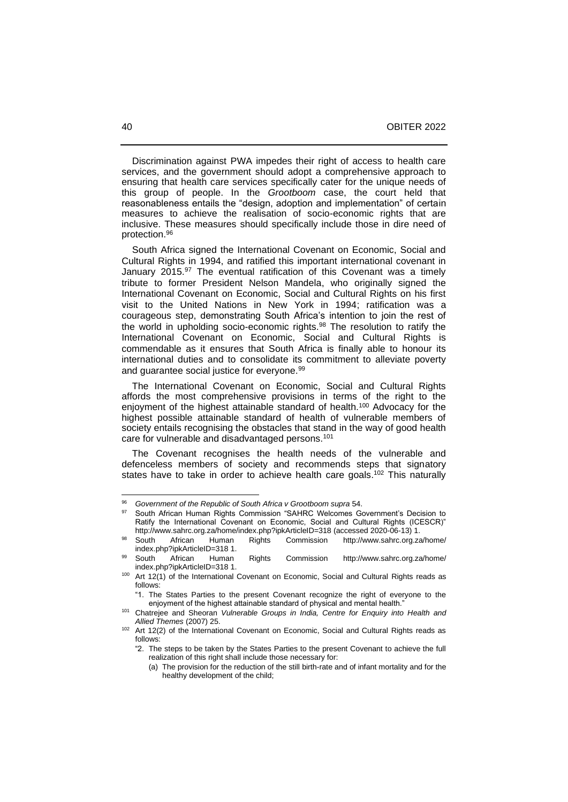Discrimination against PWA impedes their right of access to health care services, and the government should adopt a comprehensive approach to ensuring that health care services specifically cater for the unique needs of this group of people. In the *Grootboom* case, the court held that reasonableness entails the "design, adoption and implementation" of certain measures to achieve the realisation of socio-economic rights that are inclusive. These measures should specifically include those in dire need of protection.<sup>96</sup>

 South Africa signed the International Covenant on Economic, Social and Cultural Rights in 1994, and ratified this important international covenant in January 2015.97 The eventual ratification of this Covenant was a timely tribute to former President Nelson Mandela, who originally signed the International Covenant on Economic, Social and Cultural Rights on his first visit to the United Nations in New York in 1994; ratification was a courageous step, demonstrating South Africa's intention to join the rest of the world in upholding socio-economic rights.<sup>98</sup> The resolution to ratify the International Covenant on Economic, Social and Cultural Rights is commendable as it ensures that South Africa is finally able to honour its international duties and to consolidate its commitment to alleviate poverty and guarantee social justice for everyone.<sup>99</sup>

 The International Covenant on Economic, Social and Cultural Rights affords the most comprehensive provisions in terms of the right to the enjoyment of the highest attainable standard of health.<sup>100</sup> Advocacy for the highest possible attainable standard of health of vulnerable members of society entails recognising the obstacles that stand in the way of good health care for vulnerable and disadvantaged persons.<sup>101</sup>

 The Covenant recognises the health needs of the vulnerable and defenceless members of society and recommends steps that signatory states have to take in order to achieve health care goals.<sup>102</sup> This naturally

<sup>96</sup> *Government of the Republic of South Africa v Grootboom supra* 54.

<sup>97</sup> South African Human Rights Commission "SAHRC Welcomes Government's Decision to Ratify the International Covenant on Economic, Social and Cultural Rights (ICESCR)" <http://www.sahrc.org.za/home/index.php?ipkArticleID=318> (accessed 2020-06-13) 1.

<sup>98</sup> South African Human Rights Commission [http://www.sahrc.org.za/home/](http://www.sahrc.org.za/home/%20index.php?ipkArticleID=318)  [index.php?ipkArticleID=318](http://www.sahrc.org.za/home/%20index.php?ipkArticleID=318) 1.

<sup>99</sup> South African Human Rights Commission [http://www.sahrc.org.za/home/](http://www.sahrc.org.za/home/%20index.php?ipkArticleID=318)  [index.php?ipkArticleID=318](http://www.sahrc.org.za/home/%20index.php?ipkArticleID=318) 1.

<sup>100</sup> Art 12(1) of the International Covenant on Economic, Social and Cultural Rights reads as follows:

<sup>&</sup>quot;1. The States Parties to the present Covenant recognize the right of everyone to the enjoyment of the highest attainable standard of physical and mental health."

<sup>101</sup> Chatrejee and Sheoran *Vulnerable Groups in India, Centre for Enquiry into Health and Allied Themes* (2007) 25.

<sup>102</sup> Art 12(2) of the International Covenant on Economic, Social and Cultural Rights reads as follows:

<sup>&</sup>quot;2. The steps to be taken by the States Parties to the present Covenant to achieve the full realization of this right shall include those necessary for:

<sup>(</sup>a) The provision for the reduction of the still birth-rate and of infant mortality and for the healthy development of the child;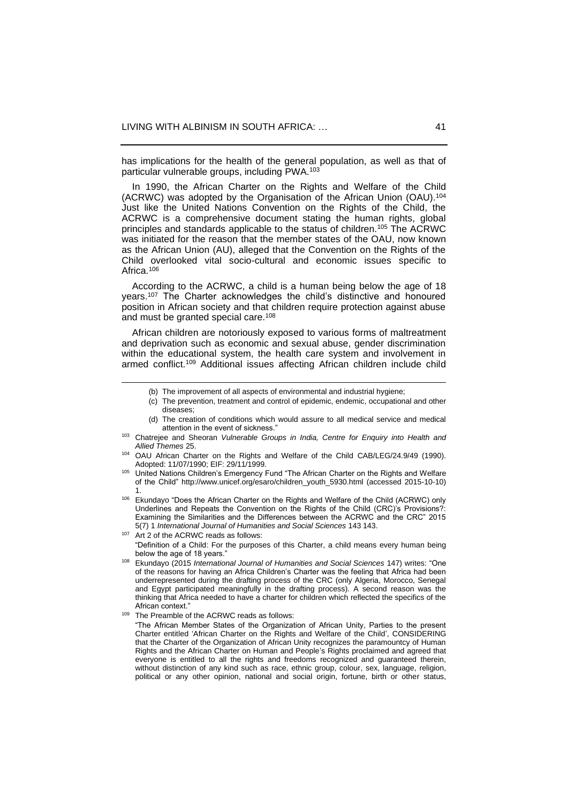has implications for the health of the general population, as well as that of particular vulnerable groups, including PWA.<sup>103</sup>

 In 1990, the African Charter on the Rights and Welfare of the Child (ACRWC) was adopted by the Organisation of the African Union (OAU).<sup>104</sup> Just like the United Nations Convention on the Rights of the Child, the ACRWC is a comprehensive document stating the human rights, global principles and standards applicable to the status of children.<sup>105</sup> The ACRWC was initiated for the reason that the member states of the OAU, now known as the African Union (AU), alleged that the Convention on the Rights of the Child overlooked vital socio-cultural and economic issues specific to Africa.<sup>106</sup>

 According to the ACRWC, a child is a human being below the age of 18 years.<sup>107</sup> The Charter acknowledges the child's distinctive and honoured position in African society and that children require protection against abuse and must be granted special care.<sup>108</sup>

 African children are notoriously exposed to various forms of maltreatment and deprivation such as economic and sexual abuse, gender discrimination within the educational system, the health care system and involvement in armed conflict. <sup>109</sup> Additional issues affecting African children include child

- (b) The improvement of all aspects of environmental and industrial hygiene;
- (c) The prevention, treatment and control of epidemic, endemic, occupational and other diseases;
- (d) The creation of conditions which would assure to all medical service and medical attention in the event of sickness."
- <sup>103</sup> Chatrejee and Sheoran *Vulnerable Groups in India, Centre for Enquiry into Health and Allied Themes* 25.
- OAU African Charter on the Rights and Welfare of the Child CAB/LEG/24.9/49 (1990). Adopted: 11/07/1990; EIF: 29/11/1999.
- 105 United Nations Children's Emergency Fund "The African Charter on the Rights and Welfare of the Child" [http://www.unicef.org/esaro/children\\_youth\\_5930.html](http://www.unicef.org/esaro/children_youth_5930.html) (accessed 2015-10-10) 1.
- 106 Ekundayo "Does the African Charter on the Rights and Welfare of the Child (ACRWC) only Underlines and Repeats the Convention on the Rights of the Child (CRC)'s Provisions?: Examining the Similarities and the Differences between the ACRWC and the CRC" 2015 5(7) 1 *International Journal of Humanities and Social Sciences* 143 143.

- "Definition of a Child: For the purposes of this Charter, a child means every human being below the age of 18 years."
- <sup>108</sup> Ekundayo (2015 *International Journal of Humanities and Social Sciences* 147) writes: "One of the reasons for having an Africa Children's Charter was the feeling that Africa had been underrepresented during the drafting process of the CRC (only Algeria, Morocco, Senegal and Egypt participated meaningfully in the drafting process). A second reason was the thinking that Africa needed to have a charter for children which reflected the specifics of the African context."
- 109 The Preamble of the ACRWC reads as follows:

"The African Member States of the Organization of African Unity, Parties to the present Charter entitled 'African Charter on the Rights and Welfare of the Child', CONSIDERING that the Charter of the Organization of African Unity recognizes the paramountcy of Human Rights and the African Charter on Human and People's Rights proclaimed and agreed that everyone is entitled to all the rights and freedoms recognized and guaranteed therein, without distinction of any kind such as race, ethnic group, colour, sex, language, religion, political or any other opinion, national and social origin, fortune, birth or other status,

<sup>107</sup> Art 2 of the ACRWC reads as follows: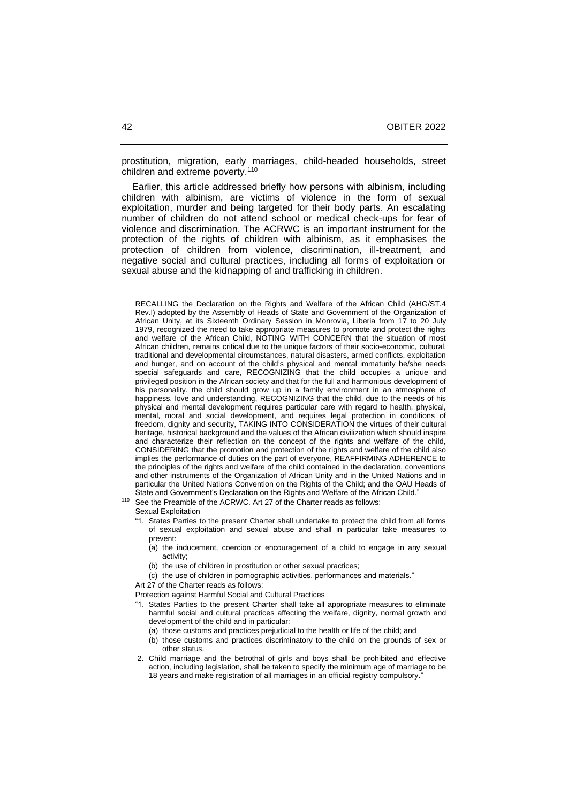prostitution, migration, early marriages, child-headed households, street children and extreme poverty.<sup>110</sup>

 Earlier, this article addressed briefly how persons with albinism, including children with albinism, are victims of violence in the form of sexual exploitation, murder and being targeted for their body parts. An escalating number of children do not attend school or medical check-ups for fear of violence and discrimination. The ACRWC is an important instrument for the protection of the rights of children with albinism, as it emphasises the protection of children from violence, discrimination, ill-treatment, and negative social and cultural practices, including all forms of exploitation or sexual abuse and the kidnapping of and trafficking in children.

110 See the Preamble of the ACRWC. Art 27 of the Charter reads as follows:

Sexual Exploitation

- "1. States Parties to the present Charter shall undertake to protect the child from all forms of sexual exploitation and sexual abuse and shall in particular take measures to prevent:
	- (a) the inducement, coercion or encouragement of a child to engage in any sexual activity;
	- (b) the use of children in prostitution or other sexual practices;
	- (c) the use of children in pornographic activities, performances and materials."

Art 27 of the Charter reads as follows:

Protection against Harmful Social and Cultural Practices

- "1. States Parties to the present Charter shall take all appropriate measures to eliminate harmful social and cultural practices affecting the welfare, dignity, normal growth and development of the child and in particular:
	- (a) those customs and practices prejudicial to the health or life of the child; and
	- (b) those customs and practices discriminatory to the child on the grounds of sex or other status.
- 2. Child marriage and the betrothal of girls and boys shall be prohibited and effective action, including legislation, shall be taken to specify the minimum age of marriage to be 18 years and make registration of all marriages in an official registry compulsory."

RECALLING the Declaration on the Rights and Welfare of the African Child (AHG/ST.4 Rev.l) adopted by the Assembly of Heads of State and Government of the Organization of African Unity, at its Sixteenth Ordinary Session in Monrovia, Liberia from 17 to 20 July 1979, recognized the need to take appropriate measures to promote and protect the rights and welfare of the African Child, NOTING WITH CONCERN that the situation of most African children, remains critical due to the unique factors of their socio-economic, cultural, traditional and developmental circumstances, natural disasters, armed conflicts, exploitation and hunger, and on account of the child's physical and mental immaturity he/she needs special safeguards and care, RECOGNIZING that the child occupies a unique and privileged position in the African society and that for the full and harmonious development of his personality. the child should grow up in a family environment in an atmosphere of happiness, love and understanding, RECOGNIZING that the child, due to the needs of his physical and mental development requires particular care with regard to health, physical, mental, moral and social development, and requires legal protection in conditions of freedom, dignity and security, TAKING INTO CONSIDERATION the virtues of their cultural heritage, historical background and the values of the African civilization which should inspire and characterize their reflection on the concept of the rights and welfare of the child, CONSIDERING that the promotion and protection of the rights and welfare of the child also implies the performance of duties on the part of everyone, REAFFIRMING ADHERENCE to the principles of the rights and welfare of the child contained in the declaration, conventions and other instruments of the Organization of African Unity and in the United Nations and in particular the United Nations Convention on the Rights of the Child; and the OAU Heads of State and Government's Declaration on the Rights and Welfare of the African Child."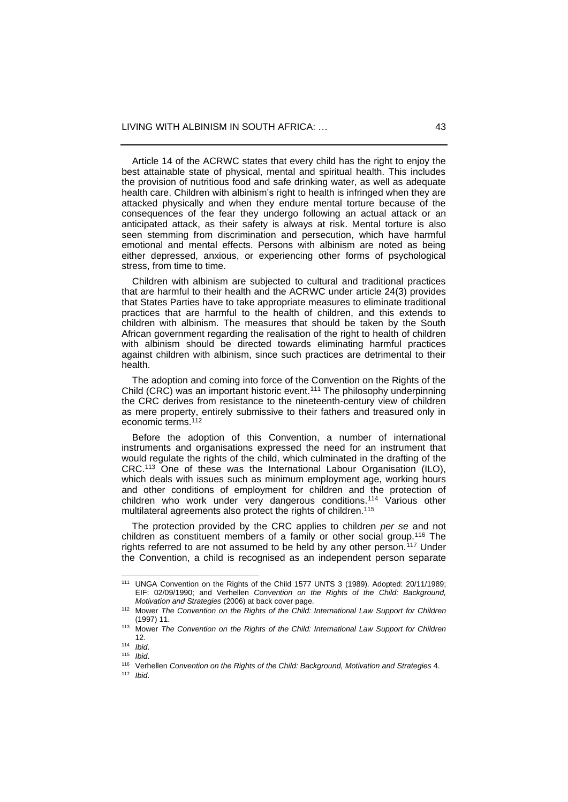Article 14 of the ACRWC states that every child has the right to enjoy the best attainable state of physical, mental and spiritual health. This includes the provision of nutritious food and safe drinking water, as well as adequate health care. Children with albinism's right to health is infringed when they are attacked physically and when they endure mental torture because of the consequences of the fear they undergo following an actual attack or an anticipated attack, as their safety is always at risk. Mental torture is also seen stemming from discrimination and persecution, which have harmful emotional and mental effects. Persons with albinism are noted as being either depressed, anxious, or experiencing other forms of psychological stress, from time to time.

 Children with albinism are subjected to cultural and traditional practices that are harmful to their health and the ACRWC under article 24(3) provides that States Parties have to take appropriate measures to eliminate traditional practices that are harmful to the health of children, and this extends to children with albinism. The measures that should be taken by the South African government regarding the realisation of the right to health of children with albinism should be directed towards eliminating harmful practices against children with albinism, since such practices are detrimental to their health.

 The adoption and coming into force of the Convention on the Rights of the Child (CRC) was an important historic event.<sup>111</sup> The philosophy underpinning the CRC derives from resistance to the nineteenth-century view of children as mere property, entirely submissive to their fathers and treasured only in economic terms.<sup>112</sup>

 Before the adoption of this Convention, a number of international instruments and organisations expressed the need for an instrument that would regulate the rights of the child, which culminated in the drafting of the CRC. <sup>113</sup> One of these was the International Labour Organisation (ILO), which deals with issues such as minimum employment age, working hours and other conditions of employment for children and the protection of children who work under very dangerous conditions.<sup>114</sup> Various other multilateral agreements also protect the rights of children.<sup>115</sup>

 The protection provided by the CRC applies to children *per se* and not children as constituent members of a family or other social group.<sup>116</sup> The rights referred to are not assumed to be held by any other person.<sup>117</sup> Under the Convention, a child is recognised as an independent person separate

<sup>117</sup> *Ibid*.

<sup>&</sup>lt;sup>111</sup> UNGA Convention on the Rights of the Child 1577 UNTS 3 (1989). Adopted: 20/11/1989; EIF: 02/09/1990; and Verhellen *Convention on the Rights of the Child: Background, Motivation and Strategies* (2006) at back cover page.

<sup>112</sup> Mower *The Convention on the Rights of the Child: International Law Support for Children* (1997) 11.

<sup>113</sup> Mower *The Convention on the Rights of the Child: International Law Support for Children* 12.

<sup>114</sup> *Ibid*.

<sup>115</sup> *Ibid*.

<sup>116</sup> Verhellen *Convention on the Rights of the Child: Background, Motivation and Strategies* 4.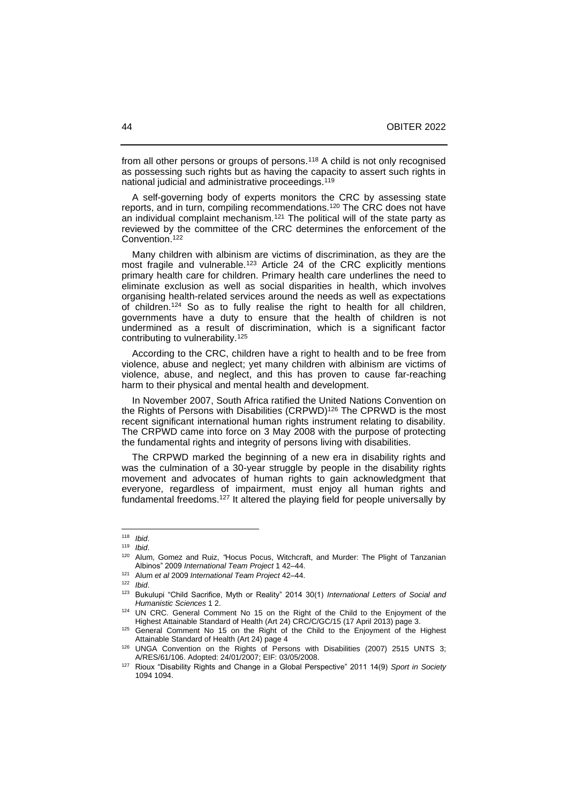from all other persons or groups of persons.<sup>118</sup> A child is not only recognised as possessing such rights but as having the capacity to assert such rights in national judicial and administrative proceedings.<sup>119</sup>

 A self-governing body of experts monitors the CRC by assessing state reports, and in turn, compiling recommendations.<sup>120</sup> The CRC does not have an individual complaint mechanism.<sup>121</sup> The political will of the state party as reviewed by the committee of the CRC determines the enforcement of the Convention.<sup>122</sup>

 Many children with albinism are victims of discrimination, as they are the most fragile and vulnerable.<sup>123</sup> Article 24 of the CRC explicitly mentions primary health care for children. Primary health care underlines the need to eliminate exclusion as well as social disparities in health, which involves organising health-related services around the needs as well as expectations of children.<sup>124</sup> So as to fully realise the right to health for all children, governments have a duty to ensure that the health of children is not undermined as a result of discrimination, which is a significant factor contributing to vulnerability.<sup>125</sup>

 According to the CRC, children have a right to health and to be free from violence, abuse and neglect; yet many children with albinism are victims of violence, abuse, and neglect, and this has proven to cause far-reaching harm to their physical and mental health and development.

 In November 2007, South Africa ratified the United Nations Convention on the Rights of Persons with Disabilities (CRPWD) <sup>126</sup> The CPRWD is the most recent significant international human rights instrument relating to disability. The CRPWD came into force on 3 May 2008 with the purpose of protecting the fundamental rights and integrity of persons living with disabilities.

The CRPWD marked the beginning of a new era in disability rights and was the culmination of a 30-year struggle by people in the disability rights movement and advocates of human rights to gain acknowledgment that everyone, regardless of impairment, must enjoy all human rights and fundamental freedoms.<sup>127</sup> It altered the playing field for people universally by

<sup>118</sup> *Ibid*.

<sup>119</sup> *Ibid*.

<sup>120</sup> Alum, Gomez and Ruiz, *"*Hocus Pocus, Witchcraft, and Murder: The Plight of Tanzanian Albinos" 2009 *International Team Project* 1 42‒44.

<sup>121</sup> Alum *et al* 2009 *International Team Project* 42‒44.

<sup>122</sup> *Ibid*.

<sup>123</sup> Bukulupi "Child Sacrifice, Myth or Reality" 2014 30(1) *International Letters of Social and Humanistic Sciences* 1 2.

<sup>&</sup>lt;sup>124</sup> UN CRC. General Comment No 15 on the Right of the Child to the Enjoyment of the Highest Attainable Standard of Health (Art 24) CRC/C/GC/15 (17 April 2013) page 3.

<sup>&</sup>lt;sup>125</sup> General Comment No 15 on the Right of the Child to the Enjoyment of the Highest Attainable Standard of Health (Art 24) page 4

<sup>126</sup> UNGA Convention on the Rights of Persons with Disabilities (2007) 2515 UNTS 3; A/RES/61/106. Adopted: 24/01/2007; EIF: 03/05/2008.

<sup>127</sup> Rioux "Disability Rights and Change in a Global Perspective" 2011 14(9) *Sport in Society* 1094 1094.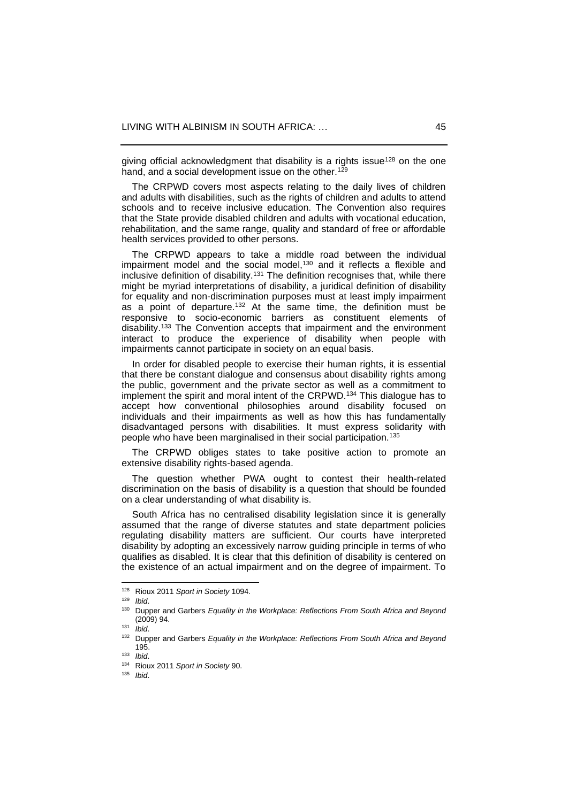giving official acknowledgment that disability is a rights issue<sup>128</sup> on the one hand, and a social development issue on the other.<sup>129</sup>

 The CRPWD covers most aspects relating to the daily lives of children and adults with disabilities, such as the rights of children and adults to attend schools and to receive inclusive education. The Convention also requires that the State provide disabled children and adults with vocational education, rehabilitation, and the same range, quality and standard of free or affordable health services provided to other persons.

 The CRPWD appears to take a middle road between the individual impairment model and the social model,<sup>130</sup> and it reflects a flexible and inclusive definition of disability.<sup>131</sup> The definition recognises that, while there might be myriad interpretations of disability, a juridical definition of disability for equality and non-discrimination purposes must at least imply impairment as a point of departure.<sup>132</sup> At the same time, the definition must be responsive to socio-economic barriers as constituent elements of disability.<sup>133</sup> The Convention accepts that impairment and the environment interact to produce the experience of disability when people with impairments cannot participate in society on an equal basis.

 In order for disabled people to exercise their human rights, it is essential that there be constant dialogue and consensus about disability rights among the public, government and the private sector as well as a commitment to implement the spirit and moral intent of the CRPWD. <sup>134</sup> This dialogue has to accept how conventional philosophies around disability focused on individuals and their impairments as well as how this has fundamentally disadvantaged persons with disabilities. It must express solidarity with people who have been marginalised in their social participation.<sup>135</sup>

 The CRPWD obliges states to take positive action to promote an extensive disability rights-based agenda.

 The question whether PWA ought to contest their health-related discrimination on the basis of disability is a question that should be founded on a clear understanding of what disability is.

 South Africa has no centralised disability legislation since it is generally assumed that the range of diverse statutes and state department policies regulating disability matters are sufficient. Our courts have interpreted disability by adopting an excessively narrow guiding principle in terms of who qualifies as disabled. It is clear that this definition of disability is centered on the existence of an actual impairment and on the degree of impairment. To

<sup>128</sup> Rioux 2011 *Sport in Society* 1094.

<sup>129</sup> *Ibid*.

<sup>130</sup> Dupper and Garbers *Equality in the Workplace: Reflections From South Africa and Beyond* (2009) 94.

<sup>131</sup> *Ibid*.

<sup>132</sup> Dupper and Garbers *Equality in the Workplace: Reflections From South Africa and Beyond* 195.

<sup>133</sup> *Ibid*.

<sup>134</sup> Rioux 2011 *Sport in Society* 90.

<sup>135</sup> *Ibid*.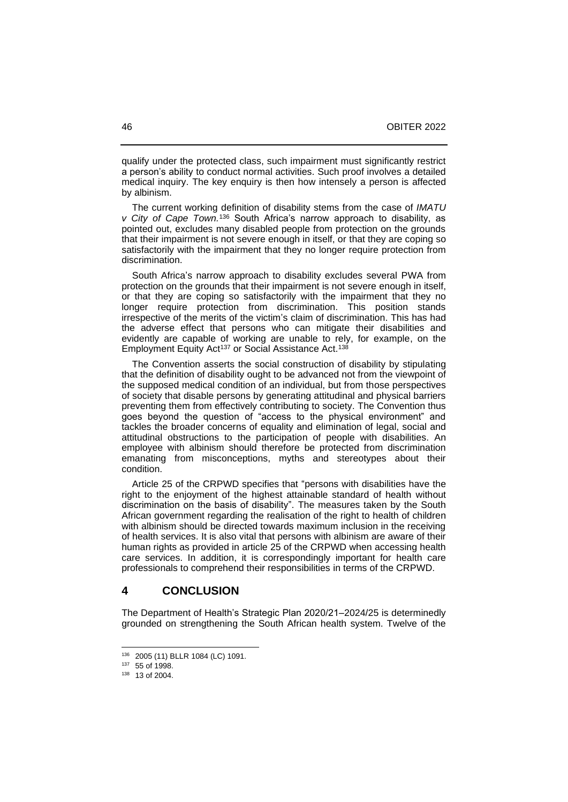qualify under the protected class, such impairment must significantly restrict a person's ability to conduct normal activities. Such proof involves a detailed medical inquiry. The key enquiry is then how intensely a person is affected by albinism.

 The current working definition of disability stems from the case of *IMATU v City of Cape Town.*<sup>136</sup> South Africa's narrow approach to disability, as pointed out, excludes many disabled people from protection on the grounds that their impairment is not severe enough in itself, or that they are coping so satisfactorily with the impairment that they no longer require protection from discrimination.

 South Africa's narrow approach to disability excludes several PWA from protection on the grounds that their impairment is not severe enough in itself, or that they are coping so satisfactorily with the impairment that they no longer require protection from discrimination. This position stands irrespective of the merits of the victim's claim of discrimination. This has had the adverse effect that persons who can mitigate their disabilities and evidently are capable of working are unable to rely, for example, on the Employment Equity Act<sup>137</sup> or Social Assistance Act.<sup>138</sup>

 The Convention asserts the social construction of disability by stipulating that the definition of disability ought to be advanced not from the viewpoint of the supposed medical condition of an individual, but from those perspectives of society that disable persons by generating attitudinal and physical barriers preventing them from effectively contributing to society. The Convention thus goes beyond the question of "access to the physical environment" and tackles the broader concerns of equality and elimination of legal, social and attitudinal obstructions to the participation of people with disabilities. An employee with albinism should therefore be protected from discrimination emanating from misconceptions, myths and stereotypes about their condition.

 Article 25 of the CRPWD specifies that "persons with disabilities have the right to the enjoyment of the [highest attainable standard of health](https://en.wikipedia.org/wiki/Right_to_health) without discrimination on the basis of disability". The measures taken by the South African government regarding the realisation of the right to health of children with albinism should be directed towards maximum inclusion in the receiving of health services. It is also vital that persons with albinism are aware of their human rights as provided in article 25 of the CRPWD when accessing health care services. In addition, it is correspondingly important for health care professionals to comprehend their responsibilities in terms of the CRPWD.

## **4 CONCLUSION**

The Department of Health's Strategic Plan 2020/21-2024/25 is determinedly grounded on strengthening the South African health system. Twelve of the

<sup>136</sup> 2005 (11) BLLR 1084 (LC) 1091.

<sup>137</sup> 55 of 1998.

<sup>138</sup> 13 of 2004.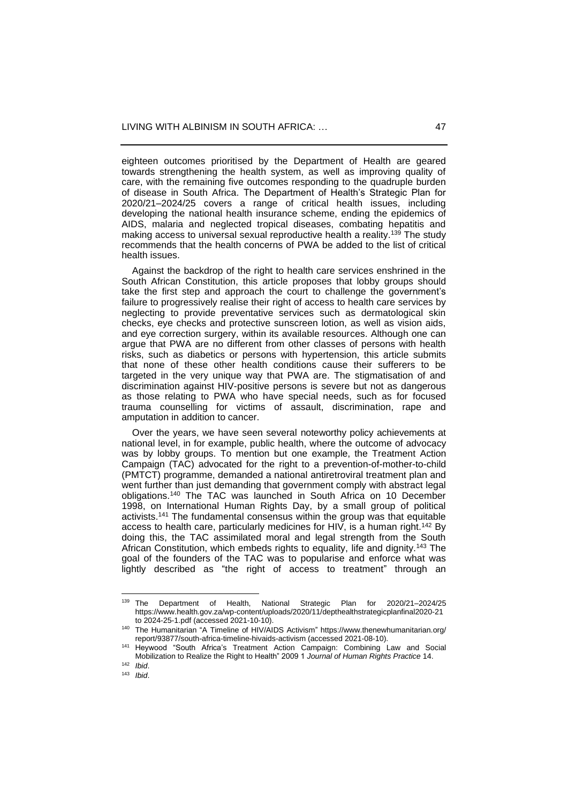eighteen outcomes prioritised by the Department of Health are geared towards strengthening the health system, as well as improving quality of care, with the remaining five outcomes responding to the quadruple burden of disease in South Africa. The Department of Health's Strategic Plan for 2020/21-2024/25 covers a range of critical health issues, including developing the national health insurance scheme, ending the epidemics of AIDS, malaria and neglected tropical diseases, combating hepatitis and making access to universal sexual reproductive health a reality.<sup>139</sup> The study recommends that the health concerns of PWA be added to the list of critical health issues.

 Against the backdrop of the right to health care services enshrined in the South African Constitution, this article proposes that lobby groups should take the first step and approach the court to challenge the government's failure to progressively realise their right of access to health care services by neglecting to provide preventative services such as dermatological skin checks, eye checks and protective sunscreen lotion, as well as vision aids, and eye correction surgery, within its available resources. Although one can argue that PWA are no different from other classes of persons with health risks, such as diabetics or persons with hypertension, this article submits that none of these other health conditions cause their sufferers to be targeted in the very unique way that PWA are. The stigmatisation of and discrimination against HIV-positive persons is severe but not as dangerous as those relating to PWA who have special needs, such as for focused trauma counselling for victims of assault, discrimination, rape and amputation in addition to cancer.

 Over the years, we have seen several noteworthy policy achievements at national level, in for example, public health, where the outcome of advocacy was by lobby groups. To mention but one example, the Treatment Action Campaign (TAC) advocated for the right to a prevention-of-mother-to-child (PMTCT) programme, demanded a national antiretroviral treatment plan and went further than just demanding that government comply with abstract legal obligations.<sup>140</sup> The TAC was launched in South Africa on 10 December 1998, on International Human Rights Day, by a small group of political activists.<sup>141</sup> The fundamental consensus within the group was that equitable access to health care, particularly medicines for  $H|V$ , is a human right.<sup>142</sup> By doing this, the TAC assimilated moral and legal strength from the South African Constitution, which embeds rights to equality, life and dignity.<sup>143</sup> The goal of the founders of the TAC was to popularise and enforce what was lightly described as "the right of access to treatment" through an

<sup>&</sup>lt;sup>139</sup> The Department of Health. National Strategic Plan for 2020/21-2024/25 <https://www.health.gov.za/wp-content/uploads/2020/11/depthealthstrategicplanfinal2020-21> to 2024-25-1.pdf (accessed 2021-10-10).

<sup>140</sup> The Humanitarian "A Timeline of HIV/AIDS Activism" https://www.thenewhumanitarian.org/ report/93877/south-africa-timeline-hivaids-activism (accessed 2021-08-10).

<sup>141</sup> Heywood "South Africa's Treatment Action Campaign: Combining Law and Social Mobilization to Realize the Right to Health" 2009 1 *Journal of Human Rights Practice* 14.

<sup>142</sup> *Ibid*.

<sup>143</sup> *Ibid*.